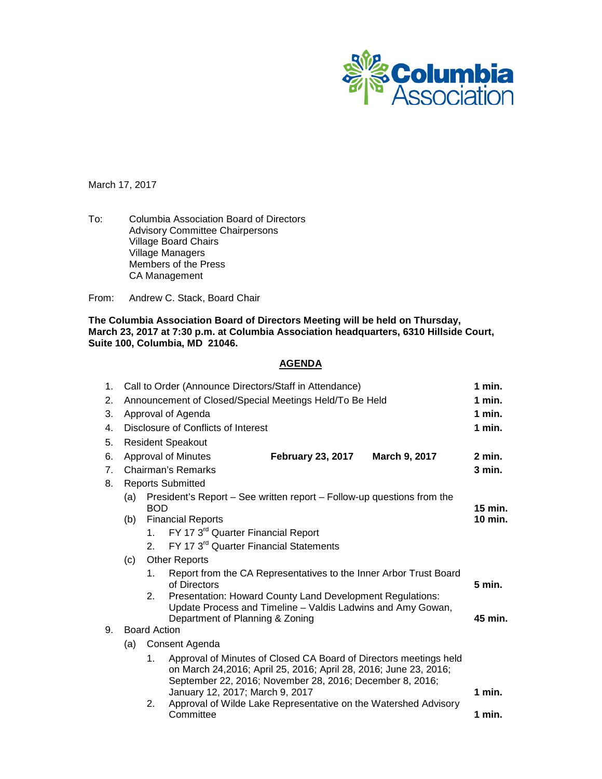

March 17, 2017

To: Columbia Association Board of Directors Advisory Committee Chairpersons Village Board Chairs Village Managers Members of the Press CA Management

From: Andrew C. Stack, Board Chair

**The Columbia Association Board of Directors Meeting will be held on Thursday, March 23, 2017 at 7:30 p.m. at Columbia Association headquarters, 6310 Hillside Court, Suite 100, Columbia, MD 21046.**

# **AGENDA**

| 1.             | Call to Order (Announce Directors/Staff in Attendance)                                                   |                                                                     |                                                                                                    |                                                                                                                                                                                                   |  |          |  |  |  |
|----------------|----------------------------------------------------------------------------------------------------------|---------------------------------------------------------------------|----------------------------------------------------------------------------------------------------|---------------------------------------------------------------------------------------------------------------------------------------------------------------------------------------------------|--|----------|--|--|--|
| 2.             | Announcement of Closed/Special Meetings Held/To Be Held                                                  |                                                                     |                                                                                                    |                                                                                                                                                                                                   |  | $1$ min. |  |  |  |
| 3.             | Approval of Agenda                                                                                       |                                                                     |                                                                                                    |                                                                                                                                                                                                   |  |          |  |  |  |
| 4.             | Disclosure of Conflicts of Interest                                                                      |                                                                     |                                                                                                    |                                                                                                                                                                                                   |  |          |  |  |  |
| 5.             | <b>Resident Speakout</b>                                                                                 |                                                                     |                                                                                                    |                                                                                                                                                                                                   |  |          |  |  |  |
| 6.             |                                                                                                          | <b>February 23, 2017</b><br>March 9, 2017<br>Approval of Minutes    |                                                                                                    |                                                                                                                                                                                                   |  |          |  |  |  |
| 7 <sub>1</sub> |                                                                                                          | Chairman's Remarks                                                  |                                                                                                    |                                                                                                                                                                                                   |  |          |  |  |  |
| 8.             | <b>Reports Submitted</b>                                                                                 |                                                                     |                                                                                                    |                                                                                                                                                                                                   |  |          |  |  |  |
|                | President's Report – See written report – Follow-up questions from the<br>(a)<br><b>BOD</b><br>$15$ min. |                                                                     |                                                                                                    |                                                                                                                                                                                                   |  |          |  |  |  |
|                | (b)                                                                                                      | <b>Financial Reports</b>                                            |                                                                                                    |                                                                                                                                                                                                   |  |          |  |  |  |
|                |                                                                                                          | 1                                                                   |                                                                                                    | FY 17 3 <sup>rd</sup> Quarter Financial Report                                                                                                                                                    |  |          |  |  |  |
|                |                                                                                                          | FY 17 3 <sup>rd</sup> Quarter Financial Statements<br>$\mathcal{P}$ |                                                                                                    |                                                                                                                                                                                                   |  |          |  |  |  |
|                | <b>Other Reports</b><br>(c)                                                                              |                                                                     |                                                                                                    |                                                                                                                                                                                                   |  |          |  |  |  |
|                |                                                                                                          | 1.                                                                  | Report from the CA Representatives to the Inner Arbor Trust Board<br>of Directors                  |                                                                                                                                                                                                   |  |          |  |  |  |
|                |                                                                                                          | 2.                                                                  |                                                                                                    | Presentation: Howard County Land Development Regulations:                                                                                                                                         |  |          |  |  |  |
|                |                                                                                                          |                                                                     | Update Process and Timeline - Valdis Ladwins and Amy Gowan,<br>Department of Planning & Zoning     |                                                                                                                                                                                                   |  |          |  |  |  |
| 9.             | <b>Board Action</b>                                                                                      |                                                                     |                                                                                                    |                                                                                                                                                                                                   |  |          |  |  |  |
|                | Consent Agenda<br>(a)                                                                                    |                                                                     |                                                                                                    |                                                                                                                                                                                                   |  |          |  |  |  |
|                |                                                                                                          | 1.                                                                  |                                                                                                    | Approval of Minutes of Closed CA Board of Directors meetings held<br>on March 24,2016; April 25, 2016; April 28, 2016; June 23, 2016;<br>September 22, 2016; November 28, 2016; December 8, 2016; |  |          |  |  |  |
|                |                                                                                                          | 2.                                                                  | January 12, 2017; March 9, 2017<br>Approval of Wilde Lake Representative on the Watershed Advisory |                                                                                                                                                                                                   |  | $1$ min. |  |  |  |
|                |                                                                                                          |                                                                     | Committee                                                                                          |                                                                                                                                                                                                   |  | 1 min.   |  |  |  |